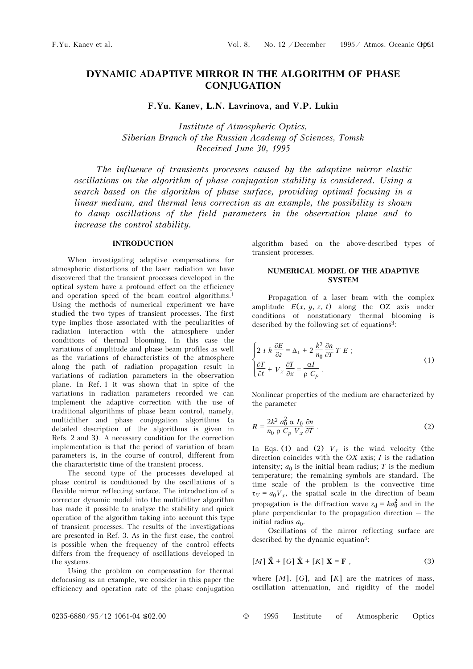# **DYNAMIC ADAPTIVE MIRROR IN THE ALGORITHM OF PHASE CONJUGATION**

**F.Yu. Kanev, L.N. Lavrinova, and V.P. Lukin** 

*Institute of Atmospheric Optics, Siberian Branch of the Russian Academy of Sciences, Tomsk Received June 30, 1995* 

*The influence of transients processes caused by the adaptive mirror elastic oscillations on the algorithm of phase conjugation stability is considered. Using a search based on the algorithm of phase surface, providing optimal focusing in a linear medium, and thermal lens correction as an example, the possibility is shown to damp oscillations of the field parameters in the observation plane and to increase the control stability.* 

## **INTRODUCTION**

When investigating adaptive compensations for atmospheric distortions of the laser radiation we have discovered that the transient processes developed in the optical system have a profound effect on the efficiency and operation speed of the beam control algorithms.1 Using the methods of numerical experiment we have studied the two types of transient processes. The first type implies those associated with the peculiarities of radiation interaction with the atmosphere under conditions of thermal blooming. In this case the variations of amplitude and phase beam profiles as well as the variations of characteristics of the atmosphere along the path of radiation propagation result in variations of radiation parameters in the observation plane. In Ref. 1 it was shown that in spite of the variations in radiation parameters recorded we can implement the adaptive correction with the use of traditional algorithms of phase beam control, namely, multidither and phase conjugation algorithms (a detailed description of the algorithms is given in Refs. 2 and 3). A necessary condition for the correction implementation is that the period of variation of beam parameters is, in the course of control, different from the characteristic time of the transient process.

The second type of the processes developed at phase control is conditioned by the oscillations of a flexible mirror reflecting surface. The introduction of a corrector dynamic model into the multidither algorithm has made it possible to analyze the stability and quick operation of the algorithm taking into account this type of transient processes. The results of the investigations are presented in Ref. 3. As in the first case, the control is possible when the frequency of the control effects differs from the frequency of oscillations developed in the systems.

Using the problem on compensation for thermal defocusing as an example, we consider in this paper the efficiency and operation rate of the phase conjugation

algorithm based on the above-described types of transient processes.

## **NUMERICAL MODEL OF THE ADAPTIVE SYSTEM**

Propagation of a laser beam with the complex amplitude  $E(x, y, z, t)$  along the OZ axis under conditions of nonstationary thermal blooming is described by the following set of equations<sup>3</sup>:

$$
\begin{cases}\n2 i k \frac{\partial E}{\partial z} = \Delta_{\perp} + 2 \frac{k^2}{n_0} \frac{\partial n}{\partial T} T E ;\\
\frac{\partial T}{\partial t} + V_x \frac{\partial T}{\partial x} = \frac{\alpha I}{\rho C_p}.\n\end{cases} \tag{1}
$$

Nonlinear properties of the medium are characterized by the parameter

$$
R = \frac{2k^2 a_0^2 \alpha I_0}{n_0 \rho C_p V_x} \frac{\partial n}{\partial T} \tag{2}
$$

In Eqs. (1) and (2)  $V_x$  is the wind velocity (the direction coincides with the *OX* axis; *I* is the radiation intensity;  $a_0$  is the initial beam radius; *T* is the medium temperature; the remaining symbols are standard. The time scale of the problem is the convective time  $\tau_V = a_0 V_x$ , the spatial scale in the direction of beam propagation is the diffraction wave  $z_d = ka_0^2$  and in the plane perpendicular to the propagation direction – the initial radius  $a_0$ .

Oscillations of the mirror reflecting surface are described by the dynamic equation<sup>4</sup>:

$$
[M] \ddot{\mathbf{X}} + [G] \dot{\mathbf{X}} + [K] \mathbf{X} = \mathbf{F}, \qquad (3)
$$

where  $[M]$ ,  $[G]$ , and  $[K]$  are the matrices of mass, oscillation attenuation, and rigidity of the model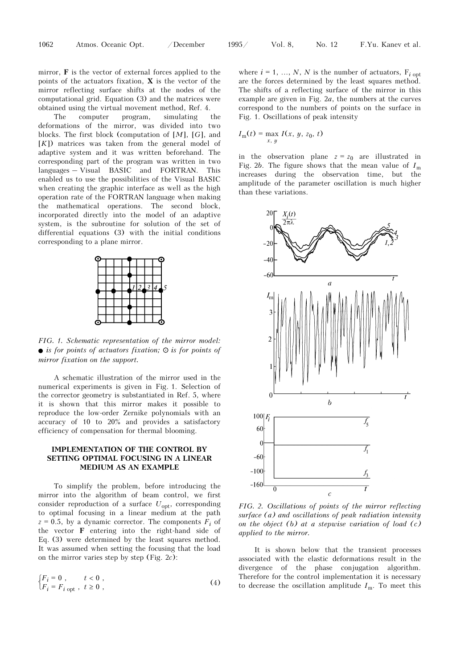mirror, **F** is the vector of external forces applied to the points of the actuators fixation, **X** is the vector of the mirror reflecting surface shifts at the nodes of the computational grid. Equation (3) and the matrices were obtained using the virtual movement method, Ref. 4.

The computer program, simulating the deformations of the mirror, was divided into two blocks. The first block (computation of [*M*], [*G*], and [*K*]) matrices was taken from the general model of adaptive system and it was written beforehand. The corresponding part of the program was written in two languages – Visual BASIC and FORTRAN. This enabled us to use the possibilities of the Visual BASIC when creating the graphic interface as well as the high operation rate of the FORTRAN language when making the mathematical operations. The second block, incorporated directly into the model of an adaptive system, is the subroutine for solution of the set of differential equations (3) with the initial conditions corresponding to a plane mirror.



*FIG. 1. Schematic representation of the mirror model:*   $\bullet$  *is for points of actuators fixation;*  $\circ$  *is for points of mirror fixation on the support.* 

A schematic illustration of the mirror used in the numerical experiments is given in Fig. 1. Selection of the corrector geometry is substantiated in Ref. 5, where it is shown that this mirror makes it possible to reproduce the low-order Zernike polynomials with an accuracy of 10 to 20% and provides a satisfactory efficiency of compensation for thermal blooming.

### **IMPLEMENTATION OF THE CONTROL BY SETTING OPTIMAL FOCUSING IN A LINEAR MEDIUM AS AN EXAMPLE**

To simplify the problem, before introducing the mirror into the algorithm of beam control, we first consider reproduction of a surface *U*opt, corresponding to optimal focusing in a linear medium at the path  $z = 0.5$ , by a dynamic corrector. The components  $F_i$  of the vector **F** entering into the right-hand side of Eq. (3) were determined by the least squares method. It was assumed when setting the focusing that the load on the mirror varies step by step (Fig. 2*c*):

$$
\begin{cases}\nF_i = 0, & t < 0, \\
F_i = F_{i \text{ opt}}, & t \ge 0,\n\end{cases}
$$
\n(4)

where  $i = 1, ..., N$ , *N* is the number of actuators,  $F_{i \text{ opt}}$ are the forces determined by the least squares method. The shifts of a reflecting surface of the mirror in this example are given in Fig. 2*a*, the numbers at the curves correspond to the numbers of points on the surface in Fig. 1. Oscillations of peak intensity

$$
I_{\rm m}(t) = \max_{x, y} I(x, y, z_0, t)
$$

in the observation plane  $z = z_0$  are illustrated in Fig. 2*b*. The figure shows that the mean value of *I*<sup>m</sup> increases during the observation time, but the amplitude of the parameter oscillation is much higher than these variations.



*FIG. 2. Oscillations of points of the mirror reflecting surface (a) and oscillations of peak radiation intensity on the object (b) at a stepwise variation of load (c) applied to the mirror.* 

It is shown below that the transient processes associated with the elastic deformations result in the divergence of the phase conjugation algorithm. Therefore for the control implementation it is necessary to decrease the oscillation amplitude  $I<sub>m</sub>$ . To meet this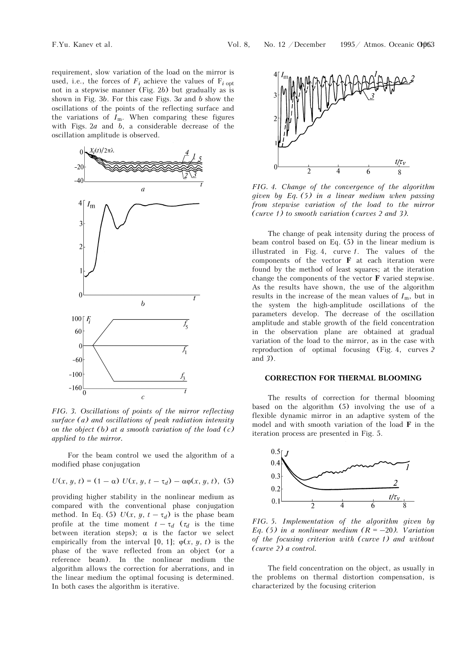requirement, slow variation of the load on the mirror is used, i.e., the forces of  $F_i$  achieve the values of  $F_i$  opt not in a stepwise manner (Fig. 2*b*) but gradually as is shown in Fig. 3*b*. For this case Figs. 3*a* and *b* show the oscillations of the points of the reflecting surface and the variations of  $I_m$ . When comparing these figures with Figs. 2*a* and *b*, a considerable decrease of the oscillation amplitude is observed.



*FIG. 3. Oscillations of points of the mirror reflecting surface (a) and oscillations of peak radiation intensity on the object (b) at a smooth variation of the load (c) applied to the mirror.* 

For the beam control we used the algorithm of a modified phase conjugation

$$
U(x, y, t) = (1 - \alpha) U(x, y, t - \tau_d) - \alpha \varphi(x, y, t), (5)
$$

providing higher stability in the nonlinear medium as compared with the conventional phase conjugation method. In Eq. (5)  $U(x, y, t - \tau_d)$  is the phase beam profile at the time moment  $t - \tau_d$  ( $\tau_d$  is the time between iteration steps);  $\alpha$  is the factor we select empirically from the interval [0, 1];  $\varphi(x, y, t)$  is the phase of the wave reflected from an object (or a reference beam). In the nonlinear medium the algorithm allows the correction for aberrations, and in the linear medium the optimal focusing is determined. In both cases the algorithm is iterative.



*FIG. 4. Change of the convergence of the algorithm given by Eq. (5) in a linear medium when passing from stepwise variation of the load to the mirror (curve 1) to smooth variation (curves 2 and 3).* 

The change of peak intensity during the process of beam control based on Eq. (5) in the linear medium is illustrated in Fig. 4, curve *1*. The values of the components of the vector **F** at each iteration were found by the method of least squares; at the iteration change the components of the vector **F** varied stepwise. As the results have shown, the use of the algorithm results in the increase of the mean values of  $I_m$ , but in the system the high-amplitude oscillations of the parameters develop. The decrease of the oscillation amplitude and stable growth of the field concentration in the observation plane are obtained at gradual variation of the load to the mirror, as in the case with reproduction of optimal focusing (Fig. 4, curves *2* and *3*).

#### **CORRECTION FOR THERMAL BLOOMING**

The results of correction for thermal blooming based on the algorithm (5) involving the use of a flexible dynamic mirror in an adaptive system of the model and with smooth variation of the load **F** in the iteration process are presented in Fig. 5.



*FIG. 5. Implementation of the algorithm given by Eq.* (5) in a nonlinear medium  $(R = -20)$ . Variation *of the focusing criterion with (curve 1) and without (curve 2) a control.* 

The field concentration on the object, as usually in the problems on thermal distortion compensation, is characterized by the focusing criterion